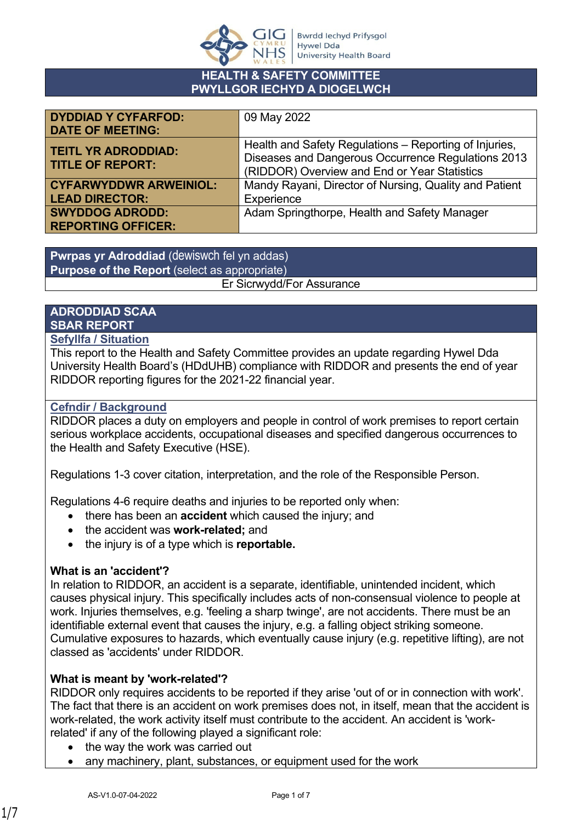

#### **HEALTH & SAFETY COMMITTEE PWYLLGOR IECHYD A DIOGELWCH**

| <b>DYDDIAD Y CYFARFOD:</b>    | 09 May 2022                                            |
|-------------------------------|--------------------------------------------------------|
| <b>DATE OF MEETING:</b>       |                                                        |
| <b>TEITL YR ADRODDIAD:</b>    | Health and Safety Regulations - Reporting of Injuries, |
| <b>TITLE OF REPORT:</b>       | Diseases and Dangerous Occurrence Regulations 2013     |
|                               | (RIDDOR) Overview and End or Year Statistics           |
| <b>CYFARWYDDWR ARWEINIOL:</b> | Mandy Rayani, Director of Nursing, Quality and Patient |
| <b>LEAD DIRECTOR:</b>         | Experience                                             |
| <b>SWYDDOG ADRODD:</b>        | Adam Springthorpe, Health and Safety Manager           |
| <b>REPORTING OFFICER:</b>     |                                                        |

**Pwrpas yr Adroddiad** (dewiswch fel yn addas) **Purpose of the Report** (select as appropriate) Er Sicrwydd/For Assurance

# **ADRODDIAD SCAA SBAR REPORT**

## **Sefyllfa / Situation**

This report to the Health and Safety Committee provides an update regarding Hywel Dda University Health Board's (HDdUHB) compliance with RIDDOR and presents the end of year RIDDOR reporting figures for the 2021-22 financial year.

## **Cefndir / Background**

RIDDOR places a duty on employers and people in control of work premises to report certain serious workplace accidents, occupational diseases and specified dangerous occurrences to the Health and Safety Executive (HSE).

Regulations 1-3 cover citation, interpretation, and the role of the Responsible Person.

Regulations 4-6 require deaths and injuries to be reported only when:

- there has been an **accident** which caused the injury; and
- the accident was **work-related;** and
- the injury is of a type which is **reportable.**

# **What is an 'accident'?**

In relation to RIDDOR, an accident is a separate, identifiable, unintended incident, which causes physical injury. This specifically includes acts of non-consensual violence to people at work. Injuries themselves, e.g. 'feeling a sharp twinge', are not accidents. There must be an identifiable external event that causes the injury, e.g. a falling object striking someone. Cumulative exposures to hazards, which eventually cause injury (e.g. repetitive lifting), are not classed as 'accidents' under RIDDOR.

# **What is meant by 'work-related'?**

RIDDOR only requires accidents to be reported if they arise 'out of or in connection with work'. The fact that there is an accident on work premises does not, in itself, mean that the accident is work-related, the work activity itself must contribute to the accident. An accident is 'workrelated' if any of the following played a significant role:

- the way the work was carried out
- any machinery, plant, substances, or equipment used for the work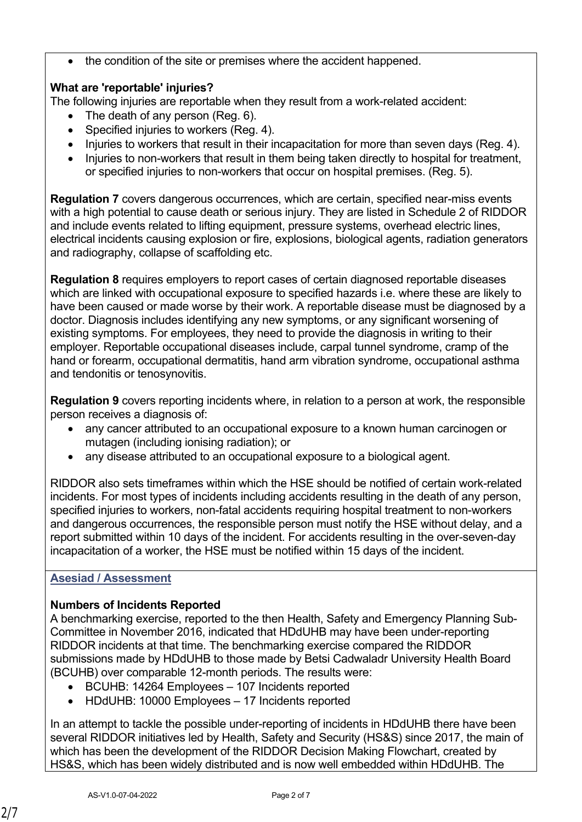the condition of the site or premises where the accident happened.

# **What are 'reportable' injuries?**

The following injuries are reportable when they result from a work-related accident:

- The death of any person (Reg. 6).
- Specified injuries to workers (Reg. 4).
- Injuries to workers that result in their incapacitation for more than seven days (Reg. 4).
- Injuries to non-workers that result in them being taken directly to hospital for treatment, or specified injuries to non-workers that occur on hospital premises. (Reg. 5).

**Regulation 7** covers dangerous occurrences, which are certain, specified near-miss events with a high potential to cause death or serious injury. They are listed in Schedule 2 of RIDDOR and include events related to lifting equipment, pressure systems, overhead electric lines, electrical incidents causing explosion or fire, explosions, biological agents, radiation generators and radiography, collapse of scaffolding etc.

**Regulation 8** requires employers to report cases of certain diagnosed reportable diseases which are linked with occupational exposure to specified hazards i.e. where these are likely to have been caused or made worse by their work. A reportable disease must be diagnosed by a doctor. Diagnosis includes identifying any new symptoms, or any significant worsening of existing symptoms. For employees, they need to provide the diagnosis in writing to their employer. Reportable occupational diseases include, carpal tunnel syndrome, cramp of the hand or forearm, occupational dermatitis, hand arm vibration syndrome, occupational asthma and tendonitis or tenosynovitis.

**Regulation 9** covers reporting incidents where, in relation to a person at work, the responsible person receives a diagnosis of:

- any cancer attributed to an occupational exposure to a known human carcinogen or mutagen (including ionising radiation); or
- any disease attributed to an occupational exposure to a biological agent.

RIDDOR also sets timeframes within which the HSE should be notified of certain work-related incidents. For most types of incidents including accidents resulting in the death of any person, specified injuries to workers, non-fatal accidents requiring hospital treatment to non-workers and dangerous occurrences, the responsible person must notify the HSE without delay, and a report submitted within 10 days of the incident. For accidents resulting in the over-seven-day incapacitation of a worker, the HSE must be notified within 15 days of the incident.

# **Asesiad / Assessment**

# **Numbers of Incidents Reported**

A benchmarking exercise, reported to the then Health, Safety and Emergency Planning Sub-Committee in November 2016, indicated that HDdUHB may have been under-reporting RIDDOR incidents at that time. The benchmarking exercise compared the RIDDOR submissions made by HDdUHB to those made by Betsi Cadwaladr University Health Board (BCUHB) over comparable 12-month periods. The results were:

- BCUHB: 14264 Employees 107 Incidents reported
- HDdUHB: 10000 Employees 17 Incidents reported

In an attempt to tackle the possible under-reporting of incidents in HDdUHB there have been several RIDDOR initiatives led by Health, Safety and Security (HS&S) since 2017, the main of which has been the development of the RIDDOR Decision Making Flowchart, created by HS&S, which has been widely distributed and is now well embedded within HDdUHB. The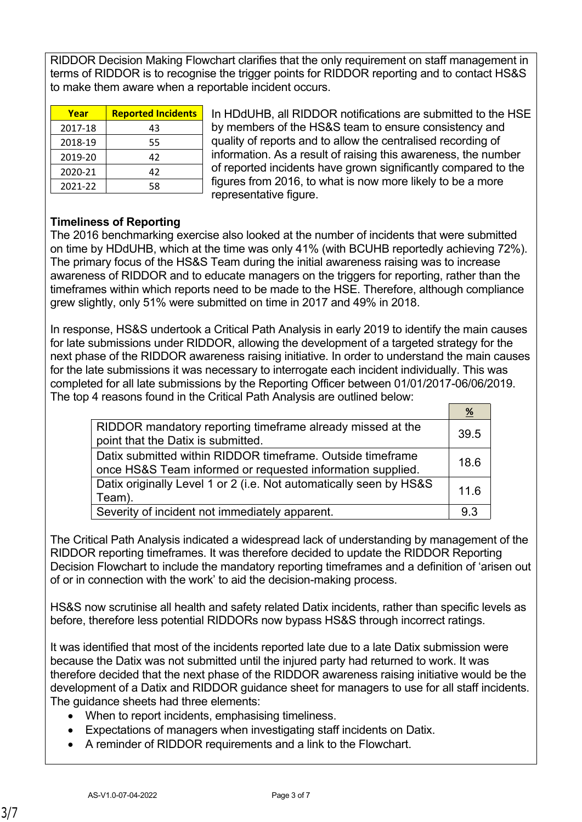RIDDOR Decision Making Flowchart clarifies that the only requirement on staff management in terms of RIDDOR is to recognise the trigger points for RIDDOR reporting and to contact HS&S to make them aware when a reportable incident occurs.

| Year    | <b>Reported Incidents</b> |
|---------|---------------------------|
| 2017-18 | 43                        |
| 2018-19 | 55                        |
| 2019-20 | 42                        |
| 2020-21 | 42                        |
| 2021-22 | 58                        |

In HDdUHB, all RIDDOR notifications are submitted to the HSE by members of the HS&S team to ensure consistency and quality of reports and to allow the centralised recording of information. As a result of raising this awareness, the number of reported incidents have grown significantly compared to the figures from 2016, to what is now more likely to be a more representative figure.

## **Timeliness of Reporting**

The 2016 benchmarking exercise also looked at the number of incidents that were submitted on time by HDdUHB, which at the time was only 41% (with BCUHB reportedly achieving 72%). The primary focus of the HS&S Team during the initial awareness raising was to increase awareness of RIDDOR and to educate managers on the triggers for reporting, rather than the timeframes within which reports need to be made to the HSE. Therefore, although compliance grew slightly, only 51% were submitted on time in 2017 and 49% in 2018.

In response, HS&S undertook a Critical Path Analysis in early 2019 to identify the main causes for late submissions under RIDDOR, allowing the development of a targeted strategy for the next phase of the RIDDOR awareness raising initiative. In order to understand the main causes for the late submissions it was necessary to interrogate each incident individually. This was completed for all late submissions by the Reporting Officer between 01/01/2017-06/06/2019. The top 4 reasons found in the Critical Path Analysis are outlined below:

|                                                                                                                          | %    |
|--------------------------------------------------------------------------------------------------------------------------|------|
| RIDDOR mandatory reporting timeframe already missed at the<br>point that the Datix is submitted.                         | 39.5 |
| Datix submitted within RIDDOR timeframe. Outside timeframe<br>once HS&S Team informed or requested information supplied. | 18.6 |
| Datix originally Level 1 or 2 (i.e. Not automatically seen by HS&S<br>Team).                                             | 116  |
| Severity of incident not immediately apparent.                                                                           | 93   |

The Critical Path Analysis indicated a widespread lack of understanding by management of the RIDDOR reporting timeframes. It was therefore decided to update the RIDDOR Reporting Decision Flowchart to include the mandatory reporting timeframes and a definition of 'arisen out of or in connection with the work' to aid the decision-making process.

HS&S now scrutinise all health and safety related Datix incidents, rather than specific levels as before, therefore less potential RIDDORs now bypass HS&S through incorrect ratings.

It was identified that most of the incidents reported late due to a late Datix submission were because the Datix was not submitted until the injured party had returned to work. It was therefore decided that the next phase of the RIDDOR awareness raising initiative would be the development of a Datix and RIDDOR guidance sheet for managers to use for all staff incidents. The guidance sheets had three elements:

- When to report incidents, emphasising timeliness.
- Expectations of managers when investigating staff incidents on Datix.
- A reminder of RIDDOR requirements and a link to the Flowchart.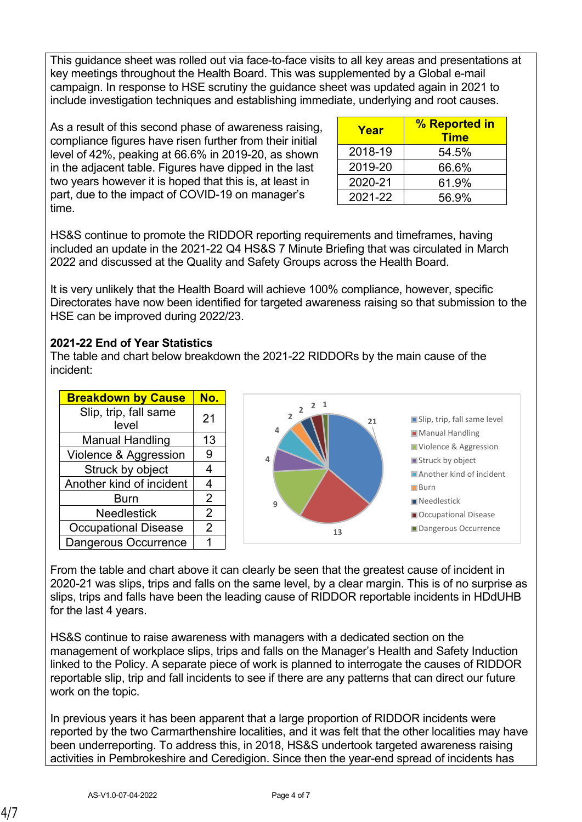This guidance sheet was rolled out via face-to-face visits to all key areas and presentations at key meetings throughout the Health Board. This was supplemented by a Global e-mail campaign. In response to HSE scrutiny the guidance sheet was updated again in 2021 to include investigation techniques and establishing immediate, underlying and root causes.

As a result of this second phase of awareness raising, compliance figures have risen further from their initial level of 42%, peaking at 66.6% in 2019-20, as shown in the adjacent table. Figures have dipped in the last two years however it is hoped that this is, at least in part, due to the impact of COVID-19 on manager's time.

| Year    | % Reported in<br><b>Time</b> |
|---------|------------------------------|
| 2018-19 | 54.5%                        |
| 2019-20 | 66.6%                        |
| 2020-21 | 61.9%                        |
| 2021-22 | 56.9%                        |

HS&S continue to promote the RIDDOR reporting requirements and timeframes, having included an update in the 2021-22 Q4 HS&S 7 Minute Briefing that was circulated in March 2022 and discussed at the Quality and Safety Groups across the Health Board.

It is very unlikely that the Health Board will achieve 100% compliance, however, specific Directorates have now been identified for targeted awareness raising so that submission to the HSE can be improved during 2022/23.

# **2021-22 End of Year Statistics**

The table and chart below breakdown the 2021-22 RIDDORs by the main cause of the incident:



From the table and chart above it can clearly be seen that the greatest cause of incident in 2020-21 was slips, trips and falls on the same level, by a clear margin. This is of no surprise as slips, trips and falls have been the leading cause of RIDDOR reportable incidents in HDdUHB for the last 4 years.

HS&S continue to raise awareness with managers with a dedicated section on the management of workplace slips, trips and falls on the Manager's Health and Safety Induction linked to the Policy. A separate piece of work is planned to interrogate the causes of RIDDOR reportable slip, trip and fall incidents to see if there are any patterns that can direct our future work on the topic.

In previous years it has been apparent that a large proportion of RIDDOR incidents were reported by the two Carmarthenshire localities, and it was felt that the other localities may have been underreporting. To address this, in 2018, HS&S undertook targeted awareness raising activities in Pembrokeshire and Ceredigion. Since then the year-end spread of incidents has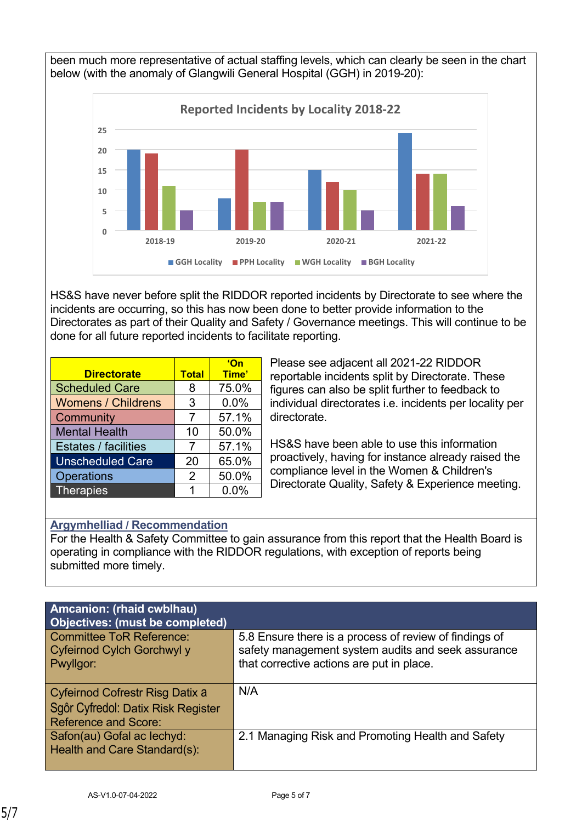been much more representative of actual staffing levels, which can clearly be seen in the chart below (with the anomaly of Glangwili General Hospital (GGH) in 2019-20):



HS&S have never before split the RIDDOR reported incidents by Directorate to see where the incidents are occurring, so this has now been done to better provide information to the Directorates as part of their Quality and Safety / Governance meetings. This will continue to be done for all future reported incidents to facilitate reporting.

|                             |              | <u>'On</u> |
|-----------------------------|--------------|------------|
| <b>Directorate</b>          | <b>Total</b> | Time'      |
| <b>Scheduled Care</b>       | 8            | 75.0%      |
| <b>Womens / Childrens</b>   | 3            | 0.0%       |
| Community                   | 7            | 57.1%      |
| <b>Mental Health</b>        | 10           | 50.0%      |
| <b>Estates / facilities</b> | 7            | 57.1%      |
| <b>Unscheduled Care</b>     | 20           | 65.0%      |
| <b>Operations</b>           | 2            | 50.0%      |
| <b>Therapies</b>            | 1            | 0.0%       |

Please see adjacent all 2021-22 RIDDOR reportable incidents split by Directorate. These figures can also be split further to feedback to individual directorates i.e. incidents per locality per directorate.

HS&S have been able to use this information proactively, having for instance already raised the compliance level in the Women & Children's Directorate Quality, Safety & Experience meeting.

# **Argymhelliad / Recommendation**

For the Health & Safety Committee to gain assurance from this report that the Health Board is operating in compliance with the RIDDOR regulations, with exception of reports being submitted more timely.

| <b>Amcanion: (rhaid cwblhau)</b><br>Objectives: (must be completed)                                  |                                                                                                                                                           |
|------------------------------------------------------------------------------------------------------|-----------------------------------------------------------------------------------------------------------------------------------------------------------|
| <b>Committee ToR Reference:</b><br>Cyfeirnod Cylch Gorchwyl y<br>Pwyllgor:                           | 5.8 Ensure there is a process of review of findings of<br>safety management system audits and seek assurance<br>that corrective actions are put in place. |
| Cyfeirnod Cofrestr Risg Datix a<br>Sgôr Cyfredol: Datix Risk Register<br><b>Reference and Score:</b> | N/A                                                                                                                                                       |
| Safon(au) Gofal ac lechyd:<br>Health and Care Standard(s):                                           | 2.1 Managing Risk and Promoting Health and Safety                                                                                                         |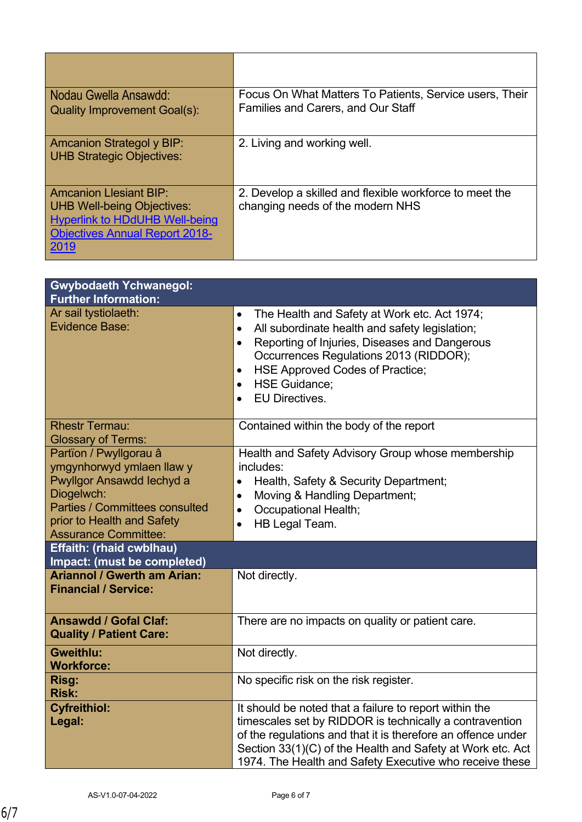| Nodau Gwella Ansawdd:<br><b>Quality Improvement Goal(s):</b>                                                                                                 | Focus On What Matters To Patients, Service users, Their<br>Families and Carers, and Our Staff |
|--------------------------------------------------------------------------------------------------------------------------------------------------------------|-----------------------------------------------------------------------------------------------|
| <b>Amcanion Strategol y BIP:</b><br><b>UHB Strategic Objectives:</b>                                                                                         | 2. Living and working well.                                                                   |
| <b>Amcanion Llesiant BIP:</b><br><b>UHB Well-being Objectives:</b><br><b>Hyperlink to HDdUHB Well-being</b><br><b>Objectives Annual Report 2018-</b><br>2019 | 2. Develop a skilled and flexible workforce to meet the<br>changing needs of the modern NHS   |

| <b>Gwybodaeth Ychwanegol:</b>                                                                                                                                                                        |                                                                                                                                                                                                                                                                                                                                                             |
|------------------------------------------------------------------------------------------------------------------------------------------------------------------------------------------------------|-------------------------------------------------------------------------------------------------------------------------------------------------------------------------------------------------------------------------------------------------------------------------------------------------------------------------------------------------------------|
| <b>Further Information:</b>                                                                                                                                                                          |                                                                                                                                                                                                                                                                                                                                                             |
| Ar sail tystiolaeth:<br><b>Evidence Base:</b>                                                                                                                                                        | The Health and Safety at Work etc. Act 1974;<br>$\bullet$<br>All subordinate health and safety legislation;<br>$\bullet$<br>Reporting of Injuries, Diseases and Dangerous<br>$\bullet$<br>Occurrences Regulations 2013 (RIDDOR);<br>HSE Approved Codes of Practice;<br>$\bullet$<br><b>HSE Guidance:</b><br>$\bullet$<br><b>EU Directives.</b><br>$\bullet$ |
| <b>Rhestr Termau:</b><br><b>Glossary of Terms:</b>                                                                                                                                                   | Contained within the body of the report                                                                                                                                                                                                                                                                                                                     |
| Partïon / Pwyllgorau â<br>ymgynhorwyd ymlaen llaw y<br>Pwyllgor Ansawdd Iechyd a<br>Diogelwch:<br><b>Parties / Committees consulted</b><br>prior to Health and Safety<br><b>Assurance Committee:</b> | Health and Safety Advisory Group whose membership<br>includes:<br>Health, Safety & Security Department;<br>$\bullet$<br>Moving & Handling Department;<br>$\bullet$<br><b>Occupational Health;</b><br>$\bullet$<br>HB Legal Team.<br>$\bullet$                                                                                                               |
| <b>Effaith: (rhaid cwblhau)</b><br>Impact: (must be completed)                                                                                                                                       |                                                                                                                                                                                                                                                                                                                                                             |
| <b>Ariannol / Gwerth am Arian:</b><br><b>Financial / Service:</b>                                                                                                                                    | Not directly.                                                                                                                                                                                                                                                                                                                                               |
| <b>Ansawdd / Gofal Claf:</b><br><b>Quality / Patient Care:</b>                                                                                                                                       | There are no impacts on quality or patient care.                                                                                                                                                                                                                                                                                                            |
| <b>Gweithlu:</b><br><b>Workforce:</b>                                                                                                                                                                | Not directly.                                                                                                                                                                                                                                                                                                                                               |
| Risg:<br><b>Risk:</b>                                                                                                                                                                                | No specific risk on the risk register.                                                                                                                                                                                                                                                                                                                      |
| <b>Cyfreithiol:</b><br>Legal:                                                                                                                                                                        | It should be noted that a failure to report within the<br>timescales set by RIDDOR is technically a contravention<br>of the regulations and that it is therefore an offence under<br>Section 33(1)(C) of the Health and Safety at Work etc. Act<br>1974. The Health and Safety Executive who receive these                                                  |